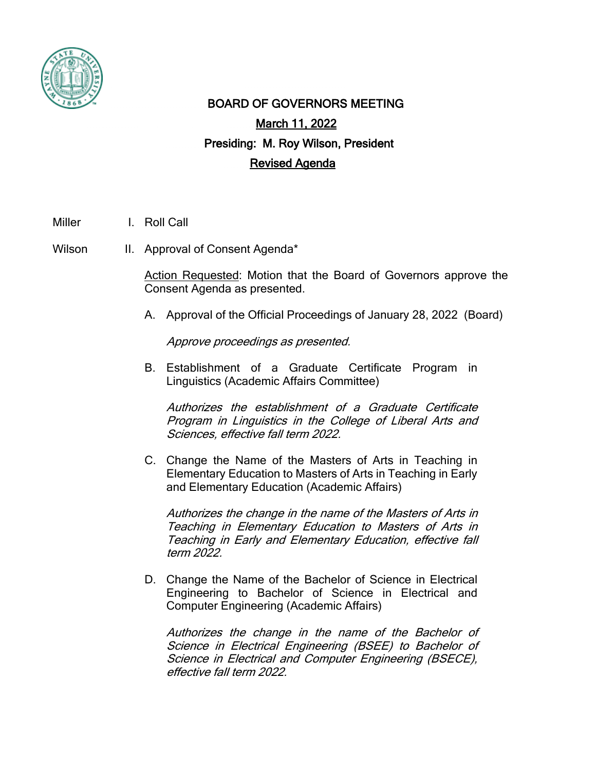

## BOARD OF GOVERNORS MEETING March 11, 2022 Presiding: M. Roy Wilson, President Revised Agenda

Miller I. Roll Call

Wilson II. Approval of Consent Agenda\*

Action Requested: Motion that the Board of Governors approve the Consent Agenda as presented.

A. Approval of the Official Proceedings of January 28, 2022 (Board)

Approve proceedings as presented.

B. Establishment of a Graduate Certificate Program in Linguistics (Academic Affairs Committee)

Authorizes the establishment of a Graduate Certificate Program in Linguistics in the College of Liberal Arts and Sciences, effective fall term 2022.

C. Change the Name of the Masters of Arts in Teaching in Elementary Education to Masters of Arts in Teaching in Early and Elementary Education (Academic Affairs)

Authorizes the change in the name of the Masters of Arts in Teaching in Elementary Education to Masters of Arts in Teaching in Early and Elementary Education, effective fall term 2022.

D. Change the Name of the Bachelor of Science in Electrical Engineering to Bachelor of Science in Electrical and Computer Engineering (Academic Affairs)

Authorizes the change in the name of the Bachelor of Science in Electrical Engineering (BSEE) to Bachelor of Science in Electrical and Computer Engineering (BSECE), effective fall term 2022.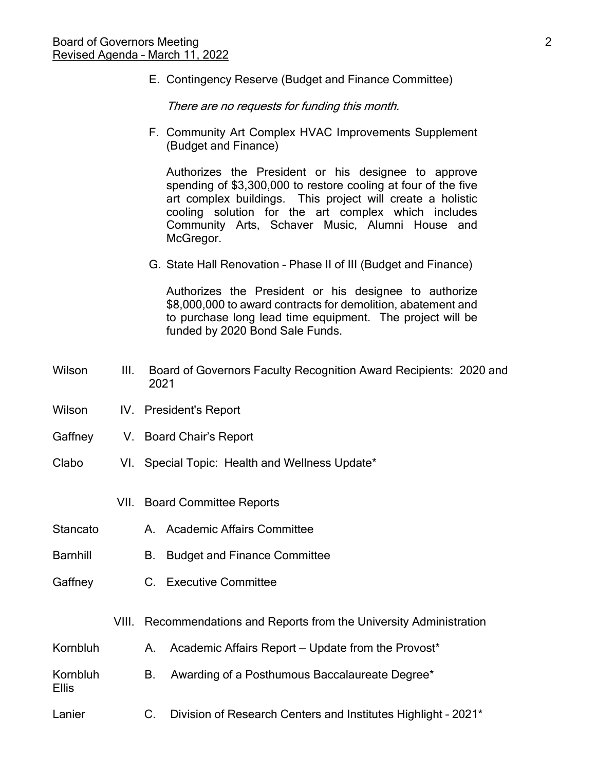E. Contingency Reserve (Budget and Finance Committee)

There are no requests for funding this month.

F. Community Art Complex HVAC Improvements Supplement (Budget and Finance)

Authorizes the President or his designee to approve spending of \$3,300,000 to restore cooling at four of the five art complex buildings. This project will create a holistic cooling solution for the art complex which includes Community Arts, Schaver Music, Alumni House and McGregor.

G. State Hall Renovation – Phase II of III (Budget and Finance)

Authorizes the President or his designee to authorize \$8,000,000 to award contracts for demolition, abatement and to purchase long lead time equipment. The project will be funded by 2020 Bond Sale Funds.

- Wilson III. Board of Governors Faculty Recognition Award Recipients: 2020 and 2021
- Wilson IV. President's Report
- Gaffney V. Board Chair's Report
- Clabo VI. Special Topic: Health and Wellness Update\*
	- VII. Board Committee Reports
- Stancato A. Academic Affairs Committee
- Barnhill B. Budget and Finance Committee
- Gaffney C. Executive Committee

Ellis

- VIII. Recommendations and Reports from the University Administration
- Kornbluh A. Academic Affairs Report Update from the Provost\*
- Kornbluh B. Awarding of a Posthumous Baccalaureate Degree\*
- Lanier **C.** Division of Research Centers and Institutes Highlight 2021<sup>\*</sup>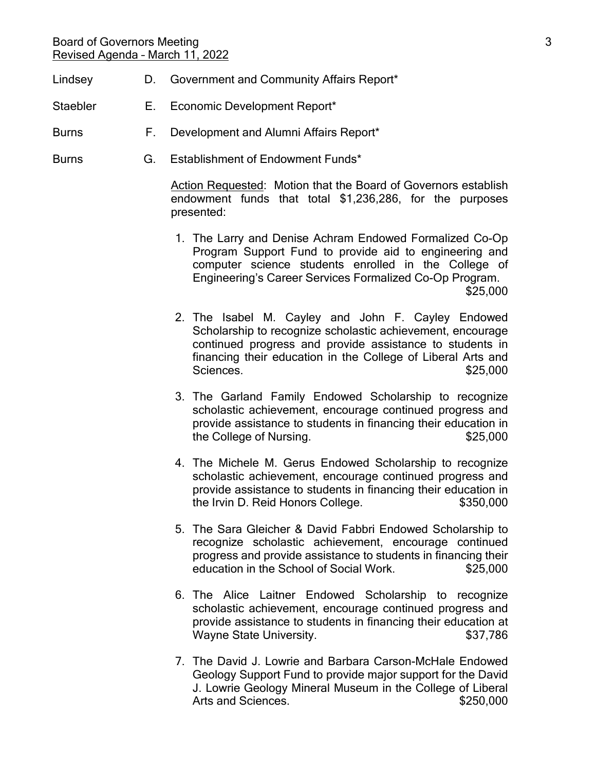## Board of Governors Meeting 3 and 3 and 3 and 3 and 3 and 3 and 3 and 3 and 3 and 3 and 3 and 3 and 3 and 3 and 3 and 3 and 3 and 3 and 3 and 3 and 3 and 3 and 3 and 3 and 3 and 3 and 3 and 3 and 3 and 3 and 3 and 3 and 3 a Revised Agenda – March 11, 2022

- Lindsey D. Government and Community Affairs Report\*
- Staebler E. Economic Development Report\*
- Burns F. Development and Alumni Affairs Report\*
- Burns G. Establishment of Endowment Funds\*

Action Requested: Motion that the Board of Governors establish endowment funds that total \$1,236,286, for the purposes presented:

- 1. The Larry and Denise Achram Endowed Formalized Co-Op Program Support Fund to provide aid to engineering and computer science students enrolled in the College of Engineering's Career Services Formalized Co-Op Program. \$25,000
- 2. The Isabel M. Cayley and John F. Cayley Endowed Scholarship to recognize scholastic achievement, encourage continued progress and provide assistance to students in financing their education in the College of Liberal Arts and Sciences.  $$25,000$
- 3. The Garland Family Endowed Scholarship to recognize scholastic achievement, encourage continued progress and provide assistance to students in financing their education in the College of Nursing.  $$25,000$
- 4. The Michele M. Gerus Endowed Scholarship to recognize scholastic achievement, encourage continued progress and provide assistance to students in financing their education in the Irvin D. Reid Honors College. \$350,000
- 5. The Sara Gleicher & David Fabbri Endowed Scholarship to recognize scholastic achievement, encourage continued progress and provide assistance to students in financing their education in the School of Social Work.  $$25,000$
- 6. The Alice Laitner Endowed Scholarship to recognize scholastic achievement, encourage continued progress and provide assistance to students in financing their education at Wayne State University.  $$37,786$
- 7. The David J. Lowrie and Barbara Carson-McHale Endowed Geology Support Fund to provide major support for the David J. Lowrie Geology Mineral Museum in the College of Liberal Arts and Sciences.  $$250,000$